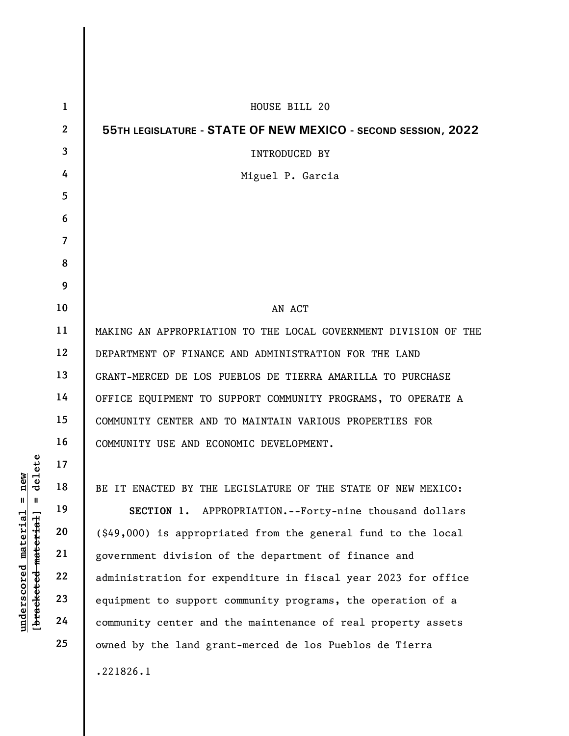|                                                | $\mathbf{1}$   | HOUSE BILL 20                                                          |
|------------------------------------------------|----------------|------------------------------------------------------------------------|
|                                                | $\overline{2}$ | 55TH LEGISLATURE - STATE OF NEW MEXICO - SECOND SESSION, 2022          |
|                                                | 3              | <b>INTRODUCED BY</b>                                                   |
|                                                | 4              | Miguel P. Garcia                                                       |
|                                                | 5              |                                                                        |
|                                                | 6              |                                                                        |
|                                                | $\overline{7}$ |                                                                        |
|                                                | 8              |                                                                        |
|                                                | 9              |                                                                        |
|                                                | 10             | AN ACT                                                                 |
|                                                | 11             | MAKING AN APPROPRIATION TO THE LOCAL GOVERNMENT DIVISION OF THE        |
|                                                | 12             | DEPARTMENT OF FINANCE AND ADMINISTRATION FOR THE LAND                  |
|                                                | 13             | GRANT-MERCED DE LOS PUEBLOS DE TIERRA AMARILLA TO PURCHASE             |
|                                                | 14             | OFFICE EQUIPMENT TO SUPPORT COMMUNITY PROGRAMS, TO OPERATE A           |
|                                                | 15             | COMMUNITY CENTER AND TO MAINTAIN VARIOUS PROPERTIES FOR                |
|                                                | 16             | COMMUNITY USE AND ECONOMIC DEVELOPMENT.                                |
| elete                                          | 17             |                                                                        |
| new                                            | 18             | BE IT ENACTED BY THE LEGISLATURE OF THE STATE OF NEW MEXICO:           |
| Ш<br>- II                                      | 19             | SECTION 1. APPROPRIATION.--Forty-nine thousand dollars                 |
| material                                       | 20             | $(\text{\$49},000)$ is appropriated from the general fund to the local |
|                                                | 21             | government division of the department of finance and                   |
|                                                | 22             | administration for expenditure in fiscal year 2023 for office          |
|                                                | 23             | equipment to support community programs, the operation of a            |
| [bracketed material<br>$\bm{{\rm underscore}}$ | 24             | community center and the maintenance of real property assets           |
|                                                | 25             | owned by the land grant-merced de los Pueblos de Tierra                |
|                                                |                | .221826.1                                                              |
|                                                |                |                                                                        |

 $\overline{\phantom{a}}$